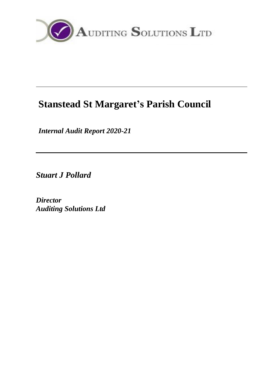

# **Stanstead St Margaret's Parish Council**

*Internal Audit Report 2020-21*

*Stuart J Pollard*

*Director Auditing Solutions Ltd*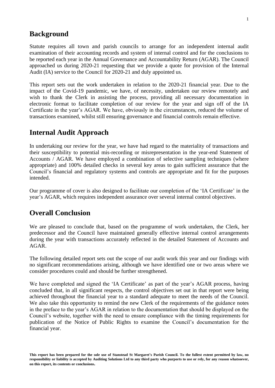### **Background**

Statute requires all town and parish councils to arrange for an independent internal audit examination of their accounting records and system of internal control and for the conclusions to be reported each year in the Annual Governance and Accountability Return (AGAR). The Council approached us during 2020-21 requesting that we provide a quote for provision of the Internal Audit (IA) service to the Council for 2020-21 and duly appointed us.

This report sets out the work undertaken in relation to the 2020-21 financial year. Due to the impact of the Covid-19 pandemic, we have, of necessity, undertaken our review remotely and wish to thank the Clerk in assisting the process, providing all necessary documentation in electronic format to facilitate completion of our review for the year and sign off of the IA Certificate in the year's AGAR. We have, obviously in the circumstances, reduced the volume of transactions examined, whilst still ensuring governance and financial controls remain effective.

### **Internal Audit Approach**

In undertaking our review for the year, we have had regard to the materiality of transactions and their susceptibility to potential mis-recording or misrepresentation in the year-end Statement of Accounts / AGAR. We have employed a combination of selective sampling techniques (where appropriate) and 100% detailed checks in several key areas to gain sufficient assurance that the Council's financial and regulatory systems and controls are appropriate and fit for the purposes intended.

Our programme of cover is also designed to facilitate our completion of the 'IA Certificate' in the year's AGAR, which requires independent assurance over several internal control objectives.

### **Overall Conclusion**

We are pleased to conclude that, based on the programme of work undertaken, the Clerk, her predecessor and the Council have maintained generally effective internal control arrangements during the year with transactions accurately reflected in the detailed Statement of Accounts and AGAR.

The following detailed report sets out the scope of our audit work this year and our findings with no significant recommendations arising, although we have identified one or two areas where we consider procedures could and should be further strengthened.

We have completed and signed the 'IA Certificate' as part of the year's AGAR process, having concluded that, in all significant respects, the control objectives set out in that report were being achieved throughout the financial year to a standard adequate to meet the needs of the Council. We also take this opportunity to remind the new Clerk of the requirements of the guidance notes in the preface to the year's AGAR in relation to the documentation that should be displayed on the Council's website, together with the need to ensure compliance with the timing requirements for publication of the Notice of Public Rights to examine the Council's documentation for the financial year.

**This report has been prepared for the sole use of Stanstead St Margaret's Parish Council. To the fullest extent permitted by law, no responsibility or liability is accepted by Auditing Solutions Ltd to any third party who purports to use or rely, for any reason whatsoever, on this report, its contents or conclusions.**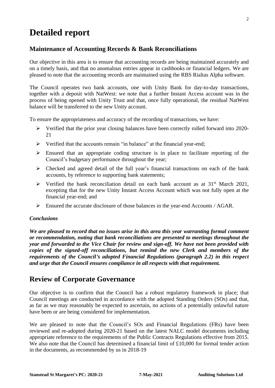# **Detailed report**

### **Maintenance of Accounting Records & Bank Reconciliations**

Our objective in this area is to ensure that accounting records are being maintained accurately and on a timely basis, and that no anomalous entries appear in cashbooks or financial ledgers. We are pleased to note that the accounting records are maintained using the RBS Rialtas Alpha software.

The Council operates two bank accounts, one with Unity Bank for day-to-day transactions, together with a deposit with NatWest: we note that a further Instant Access account was in the process of being opened with Unity Trust and that, once fully operational, the residual NatWest balance will be transferred to the new Unity account.

To ensure the appropriateness and accuracy of the recording of transactions, we have:

- ➢ Verified that the prior year closing balances have been correctly rolled forward into 2020- 21
- ➢ Verified that the accounts remain "in balance" at the financial year-end;
- ➢ Ensured that an appropriate coding structure is in place to facilitate reporting of the Council's budgetary performance throughout the year;
- ➢ Checked and agreed detail of the full year's financial transactions on each of the bank accounts, by reference to supporting bank statements;
- $\triangleright$  Verified the bank reconciliation detail on each bank account as at 31<sup>st</sup> March 2021, excepting that for the new Unity Instant Access Account which was not fully open at the financial year-end; and
- ➢ Ensured the accurate disclosure of those balances in the year-end Accounts / AGAR.

#### *Conclusions*

*We are pleased to record that no issues arise in this area this year warranting formal comment or recommendation, noting that bank reconciliations are presented to meetings throughout the year and forwarded to the Vice Chair for review and sign-off. We have not been provided with copies of the signed-off reconciliations, but remind the new Clerk and members of the requirements of the Council's adopted Financial Regulations (paragraph 2.2) in this respect and urge that the Council ensures compliance in all respects with that requirement.*

### **Review of Corporate Governance**

Our objective is to confirm that the Council has a robust regulatory framework in place; that Council meetings are conducted in accordance with the adopted Standing Orders (SOs) and that, as far as we may reasonably be expected to ascertain, no actions of a potentially unlawful nature have been or are being considered for implementation.

We are pleased to note that the Council's SOs and Financial Regulations (FRs) have been reviewed and re-adopted during 2020-21 based on the latest NALC model documents including appropriate reference to the requirements of the Public Contracts Regulations effective from 2015. We also note that the Council has determined a financial limit of £10,000 for formal tender action in the documents, as recommended by us in 2018-19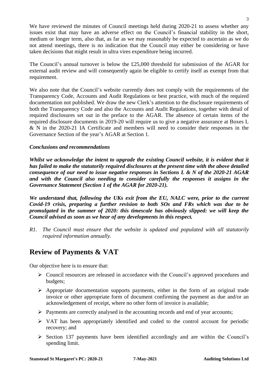We have reviewed the minutes of Council meetings held during 2020-21 to assess whether any issues exist that may have an adverse effect on the Council's financial stability in the short, medium or longer term, also that, as far as we may reasonably be expected to ascertain as we do not attend meetings, there is no indication that the Council may either be considering or have taken decisions that might result in ultra vires expenditure being incurred.

The Council's annual turnover is below the £25,000 threshold for submission of the AGAR for external audit review and will consequently again be eligible to certify itself as exempt from that requirement.

We also note that the Council's website currently does not comply with the requirements of the Transparency Code, Accounts and Audit Regulations or best practice, with much of the required documentation not published. We draw the new Clerk's attention to the disclosure requirements of both the Transparency Code and also the Accounts and Audit Regulations, together with detail of required disclosures set out in the preface to the AGAR. The absence of certain items of the required disclosure documents in 2019-20 will require us to give a negative assurance at Boxes L & N in the 2020-21 IA Certificate and members will need to consider their responses in the Governance Section of the year's AGAR at Section 1.

#### *Conclusions and recommendations*

*Whilst we acknowledge the intent to upgrade the existing Council website, it is evident that it has failed to make the statutorily required disclosures at the present time with the above detailed consequence of our need to issue negative responses in Sections L & N of the 2020-21 AGAR and with the Council also needing to consider carefully the responses it assigns in the Governance Statement (Section 1 of the AGAR for 2020-21).*

*We understand that, following the UKs exit from the EU, NALC were, prior to the current Covid-19 crisis, preparing a further revision to both SOs and FRs which was due to be promulgated in the summer of 2020: this timescale has obviously slipped: we will keep the Council advised as soon as we hear of any developments in this respect.*

*R1. The Council must ensure that the website is updated and populated with all statutorily required information annually.*

### **Review of Payments & VAT**

Our objective here is to ensure that:

- ➢ Council resources are released in accordance with the Council's approved procedures and budgets;
- ➢ Appropriate documentation supports payments, either in the form of an original trade invoice or other appropriate form of document confirming the payment as due and/or an acknowledgement of receipt, where no other form of invoice is available;
- ➢ Payments are correctly analysed in the accounting records and end of year accounts;
- ➢ VAT has been appropriately identified and coded to the control account for periodic recovery; and
- ➢ Section 137 payments have been identified accordingly and are within the Council's spending limit.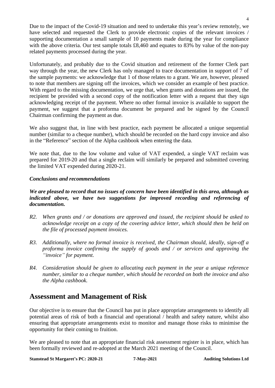Due to the impact of the Covid-19 situation and need to undertake this year's review remotely, we have selected and requested the Clerk to provide electronic copies of the relevant invoices / supporting documentation a small sample of 10 payments made during the year for compliance with the above criteria. Our test sample totals £8,460 and equates to 83% by value of the non-pay related payments processed during the year.

Unfortunately, and probably due to the Covid situation and retirement of the former Clerk part way through the year, the new Clerk has only managed to trace documentation in support of 7 of the sample payments: we acknowledge that 1 of those relates to a grant. We are, however, pleased to note that members are signing off the invoices, which we consider an example of best practice. With regard to the missing documentation, we urge that, when grants and donations are issued, the recipient be provided with a second copy of the notification letter with a request that they sign acknowledging receipt of the payment. Where no other formal invoice is available to support the payment, we suggest that a proforma document be prepared and be signed by the Council Chairman confirming the payment as due.

We also suggest that, in line with best practice, each payment be allocated a unique sequential number (similar to a cheque number), which should be recorded on the hard copy invoice and also in the "Reference" section of the Alpha cashbook when entering the data.

We note that, due to the low volume and value of VAT expended, a single VAT reclaim was prepared for 2019-20 and that a single reclaim will similarly be prepared and submitted covering the limited VAT expended during 2020-21.

#### *Conclusions and recommendations*

#### *We are pleased to record that no issues of concern have been identified in this area, although as*  indicated above, we have two suggestions for improved recording and referencing of *documentation.*

- *R2. When grants and / or donations are approved and issued, the recipient should be asked to acknowledge receipt on a copy of the covering advice letter, which should then be held on the file of processed payment invoices.*
- *R3. Additionally, where no formal invoice is received, the Chairman should, ideally, sign-off a proforma invoice confirming the supply of goods and / or services and approving the "invoice" for payment.*
- *R4. Consideration should be given to allocating each payment in the year a unique reference number, similar to a cheque number, which should be recorded on both the invoice and also the Alpha cashbook.*

### **Assessment and Management of Risk**

Our objective is to ensure that the Council has put in place appropriate arrangements to identify all potential areas of risk of both a financial and operational / health and safety nature, whilst also ensuring that appropriate arrangements exist to monitor and manage those risks to minimise the opportunity for their coming to fruition.

We are pleased to note that an appropriate financial risk assessment register is in place, which has been formally reviewed and re-adopted at the March 2021 meeting of the Council.

**Stanstead St Margaret's PC: 2020-21 7-May-2021 Auditing Solutions Ltd**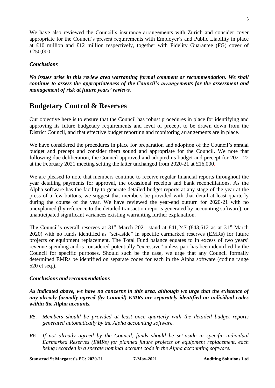We have also reviewed the Council's insurance arrangements with Zurich and consider cover appropriate for the Council's present requirements with Employer's and Public Liability in place at £10 million and £12 million respectively, together with Fidelity Guarantee (FG) cover of £250,000.

#### *Conclusions*

*No issues arise in this review area warranting formal comment or recommendation. We shall continue to assess the appropriateness of the Council's arrangements for the assessment and management of risk at future years' reviews.*

### **Budgetary Control & Reserves**

Our objective here is to ensure that the Council has robust procedures in place for identifying and approving its future budgetary requirements and level of precept to be drawn down from the District Council, and that effective budget reporting and monitoring arrangements are in place.

We have considered the procedures in place for preparation and adoption of the Council's annual budget and precept and consider them sound and appropriate for the Council. We note that following due deliberation, the Council approved and adopted its budget and precept for 2021-22 at the February 2021 meeting setting the latter unchanged from 2020-21 at £16,000.

We are pleased to note that members continue to receive regular financial reports throughout the year detailing payments for approval, the occasional receipts and bank reconciliations. As the Alpha software has the facility to generate detailed budget reports at any stage of the year at the press of a few buttons, we suggest that members be provided with that detail at least quarterly during the course of the year. We have reviewed the year-end outturn for 2020-21 with no unexplained (by reference to the detailed transaction reports generated by accounting software), or unanticipated significant variances existing warranting further explanation.

The Council's overall reserves at  $31<sup>st</sup>$  March 2021 stand at £41,247 (£43,612 as at  $31<sup>st</sup>$  March 2020) with no funds identified as "set-aside" in specific earmarked reserves (EMRs) for future projects or equipment replacement. The Total Fund balance equates to in excess of two years' revenue spending and is considered potentially "excessive" unless part has been identified by the Council for specific purposes. Should such be the case, we urge that any Council formally determined EMRs be identified on separate codes for each in the Alpha software (coding range 520 et seq.).

#### *Conclusions and recommendations*

*As indicated above, we have no concerns in this area, although we urge that the existence of any already formally agreed (by Council) EMRs are separately identified on individual codes within the Alpha accounts.*

- *R5. Members should be provided at least once quarterly with the detailed budget reports generated automatically by the Alpha accounting software.*
- *R6. If not already agreed by the Council, funds should be set-aside in specific individual Earmarked Reserves (EMRs) for planned future projects or equipment replacement, each being recorded in a sperate nominal account code in the Alpha accounting software.*

**Stanstead St Margaret's PC: 2020-21 7-May-2021 Auditing Solutions Ltd**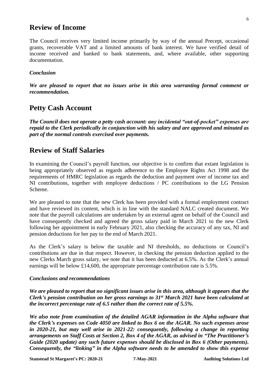### **Review of Income**

The Council receives very limited income primarily by way of the annual Precept, occasional grants, recoverable VAT and a limited amounts of bank interest. We have verified detail of income received and banked to bank statements, and, where available, other supporting documentation.

#### *Conclusion*

*We are pleased to report that no issues arise in this area warranting formal comment or recommendation.*

### **Petty Cash Account**

*The Council does not operate a petty cash account: any incidental "out-of-pocket" expenses are repaid to the Clerk periodically in conjunction with his salary and are approved and minuted as part of the normal controls exercised over payments.*

### **Review of Staff Salaries**

In examining the Council's payroll function, our objective is to confirm that extant legislation is being appropriately observed as regards adherence to the Employee Rights Act 1998 and the requirements of HMRC legislation as regards the deduction and payment over of income tax and NI contributions, together with employee deductions / PC contributions to the LG Pension Scheme.

We are pleased to note that the new Clerk has been provided with a formal employment contract and have reviewed its content, which is in line with the standard NALC created document. We note that the payroll calculations are undertaken by an external agent on behalf of the Council and have consequently checked and agreed the gross salary paid in March 2021 to the new Clerk following her appointment in early February 2021, also checking the accuracy of any tax, NI and pension deductions for her pay to the end of March 2021.

As the Clerk's salary is below the taxable and NI thresholds, no deductions or Council's contributions are due in that respect. However, in checking the pension deduction applied to the new Clerks March gross salary, we note that it has been deducted at 6.5%. As the Clerk's annual earnings will be below £14,600, the appropriate percentage contribution rate is 5.5%.

#### *Conclusions and recommendations*

*We are pleased to report that no significant issues arise in this area, although it appears that the Clerk's pension contribution on her gross earnings to 31st March 2021 have been calculated at the incorrect percentage rate of 6.5 rather than the correct rate of 5.5%.*

*We also note from examination of the detailed AGAR information in the Alpha software that the Clerk's expenses on Code 4050 are linked to Box 6 on the AGAR. No such expenses arose*  in 2020-21, but may well arise in 2021-22: consequently, following a change in reporting *arrangements on Staff Costs at Section 2, Box 4 of the AGAR, as advised in "The Practitioner's Guide (2020 update) any such future expenses should be disclosed in Box 6 (Other payments). Consequently, the "linking" in the Alpha software needs to be amended to show this expense* 

**Stanstead St Margaret's PC: 2020-21 7-May-2021 Auditing Solutions Ltd**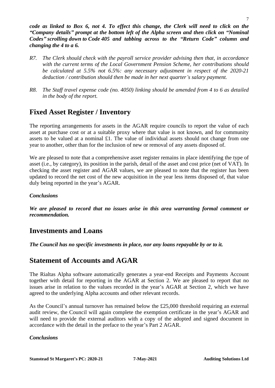*code as linked to Box 6, not 4. To effect this change, the Clerk will need to click on the "Company details" prompt at the bottom left of the Alpha screen and then click on "Nominal Codes" scrolling down to Code 405 and tabbing across to the "Return Code" column and changing the 4 to a 6.*

- *R7. The Clerk should check with the payroll service provider advising then that, in accordance with the current terms of the Local Government Pension Scheme, her contributions should be calculated at 5.5% not 6.5%: any necessary adjustment in respect of the 2020-21 deduction / contribution should then be made in her next quarter's salary payment.*
- *R8. The Staff travel expense code (no. 4050) linking should be amended from 4 to 6 as detailed in the body of the report.*

## **Fixed Asset Register / Inventory**

The reporting arrangements for assets in the AGAR require councils to report the value of each asset at purchase cost or at a suitable proxy where that value is not known, and for community assets to be valued at a nominal £1. The value of individual assets should not change from one year to another, other than for the inclusion of new or removal of any assets disposed of.

We are pleased to note that a comprehensive asset register remains in place identifying the type of asset (i.e., by category), its position in the parish, detail of the asset and cost price (net of VAT). In checking the asset register and AGAR values, we are pleased to note that the register has been updated to record the net cost of the new acquisition in the year less items disposed of, that value duly being reported in the year's AGAR.

### *Conclusions*

*We are pleased to record that no issues arise in this area warranting formal comment or recommendation.*

### **Investments and Loans**

*The Council has no specific investments in place, nor any loans repayable by or to it.*

### **Statement of Accounts and AGAR**

The Rialtas Alpha software automatically generates a year-end Receipts and Payments Account together with detail for reporting in the AGAR at Section 2. We are pleased to report that no issues arise in relation to the values recorded in the year's AGAR at Section 2, which we have agreed to the underlying Alpha accounts and other relevant records.

As the Council's annual turnover has remained below the £25,000 threshold requiring an external audit review, the Council will again complete the exemption certificate in the year's AGAR and will need to provide the external auditors with a copy of the adopted and signed document in accordance with the detail in the preface to the year's Part 2 AGAR.

#### *Conclusions*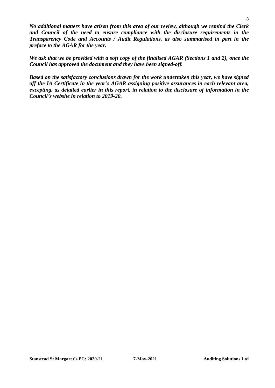*No additional matters have arisen from this area of our review, although we remind the Clerk and Council of the need to ensure compliance with the disclosure requirements in the Transparency Code and Accounts / Audit Regulations, as also summarised in part in the preface to the AGAR for the year.*

*We ask that we be provided with a soft copy of the finalised AGAR (Sections 1 and 2), once the Council has approved the document and they have been signed-off.*

*Based on the satisfactory conclusions drawn for the work undertaken this year, we have signed off the IA Certificate in the year's AGAR assigning positive assurances in each relevant area, excepting, as detailed earlier in this report, in relation to the disclosure of information in the Council's website in relation to 2019-20.*